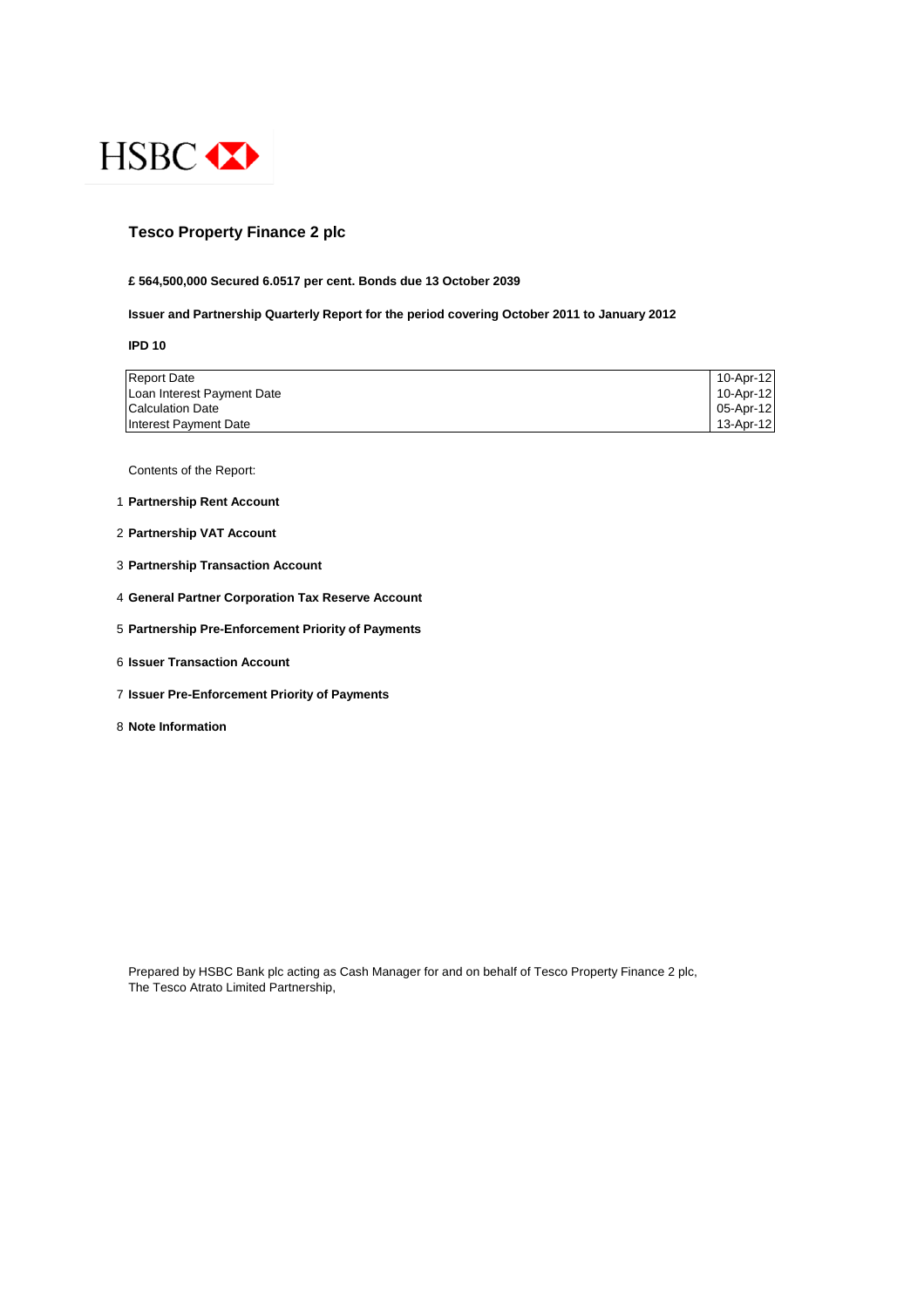

## **Tesco Property Finance 2 plc**

#### **£ 564,500,000 Secured 6.0517 per cent. Bonds due 13 October 2039**

#### **Issuer and Partnership Quarterly Report for the period covering October 2011 to January 2012**

**IPD 10**

| <b>Report Date</b>         | 10-Apr-12 |
|----------------------------|-----------|
| Loan Interest Payment Date | 10-Apr-12 |
| <b>Calculation Date</b>    | 05-Apr-12 |
| Interest Payment Date      | 13-Apr-12 |

Contents of the Report:

- 1 **Partnership Rent Account**
- 2 **Partnership VAT Account**
- 3 **Partnership Transaction Account**
- 4 **General Partner Corporation Tax Reserve Account**
- 5 **Partnership Pre-Enforcement Priority of Payments**
- 6 **Issuer Transaction Account**
- 7 **Issuer Pre-Enforcement Priority of Payments**
- 8 **Note Information**

Prepared by HSBC Bank plc acting as Cash Manager for and on behalf of Tesco Property Finance 2 plc, The Tesco Atrato Limited Partnership,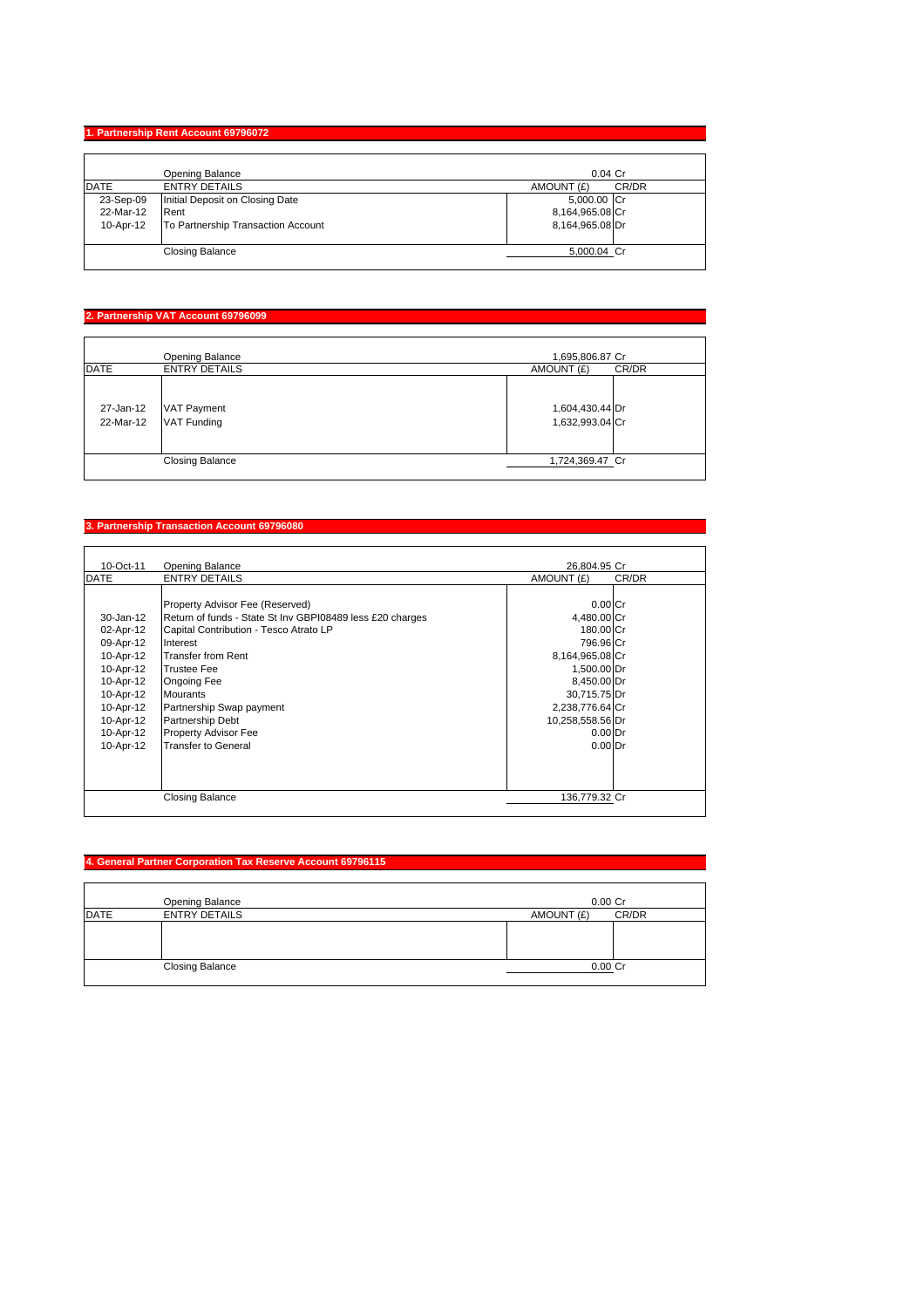## **1. Partnership Rent Account 69796072**

|             | Opening Balance                    | $0.04$ Cr           |
|-------------|------------------------------------|---------------------|
| <b>DATE</b> | <b>ENTRY DETAILS</b>               | CR/DR<br>AMOUNT (£) |
| 23-Sep-09   | Initial Deposit on Closing Date    | 5,000.00 Cr         |
| 22-Mar-12   | Rent                               | 8,164,965.08 Cr     |
| 10-Apr-12   | To Partnership Transaction Account | 8,164,965.08 Dr     |
|             | <b>Closing Balance</b>             | 5,000.04 Cr         |

# **2. Partnership VAT Account 69796099**

|                        | Opening Balance                          | 1,695,806.87 Cr                    |
|------------------------|------------------------------------------|------------------------------------|
| <b>DATE</b>            | <b>ENTRY DETAILS</b>                     | AMOUNT (£)<br>CR/DR                |
| 27-Jan-12<br>22-Mar-12 | <b>VAT Payment</b><br><b>VAT Funding</b> | 1,604,430.44 Dr<br>1,632,993.04 Cr |
|                        | <b>Closing Balance</b>                   | 1,724,369.47 Cr                    |

## **3. Partnership Transaction Account 69796080**

| 10-Oct-11   | Opening Balance                                           | 26.804.95 Cr     |       |
|-------------|-----------------------------------------------------------|------------------|-------|
| <b>DATE</b> | <b>ENTRY DETAILS</b>                                      | AMOUNT (£)       | CR/DR |
|             |                                                           |                  |       |
|             | Property Advisor Fee (Reserved)                           | $0.00C$ r        |       |
| 30-Jan-12   | Return of funds - State St Inv GBPI08489 less £20 charges | 4,480.00 Cr      |       |
| 02-Apr-12   | Capital Contribution - Tesco Atrato LP                    | 180.00 Cr        |       |
| 09-Apr-12   | Interest                                                  | 796.96 Cr        |       |
| 10-Apr-12   | Transfer from Rent                                        | 8,164,965.08 Cr  |       |
| 10-Apr-12   | <b>Trustee Fee</b>                                        | 1,500.00 Dr      |       |
| 10-Apr-12   | <b>Ongoing Fee</b>                                        | 8,450.00 Dr      |       |
| 10-Apr-12   | <b>Mourants</b>                                           | 30,715.75 Dr     |       |
| 10-Apr-12   | Partnership Swap payment                                  | 2,238,776.64 Cr  |       |
| 10-Apr-12   | <b>Partnership Debt</b>                                   | 10,258,558.56 Dr |       |
| 10-Apr-12   | Property Advisor Fee                                      | $0.00$ Dr        |       |
| 10-Apr-12   | <b>Transfer to General</b>                                | $0.00$ Dr        |       |
|             |                                                           |                  |       |
|             |                                                           |                  |       |
|             |                                                           |                  |       |
|             | Closing Balance                                           | 136,779.32 Cr    |       |

# **4. General Partner Corporation Tax Reserve Account 69796115**

|             | Opening Balance        | $0.00$ Cr  |       |
|-------------|------------------------|------------|-------|
| <b>DATE</b> | <b>ENTRY DETAILS</b>   | AMOUNT (£) | CR/DR |
|             |                        |            |       |
|             | <b>Closing Balance</b> | $0.00$ Cr  |       |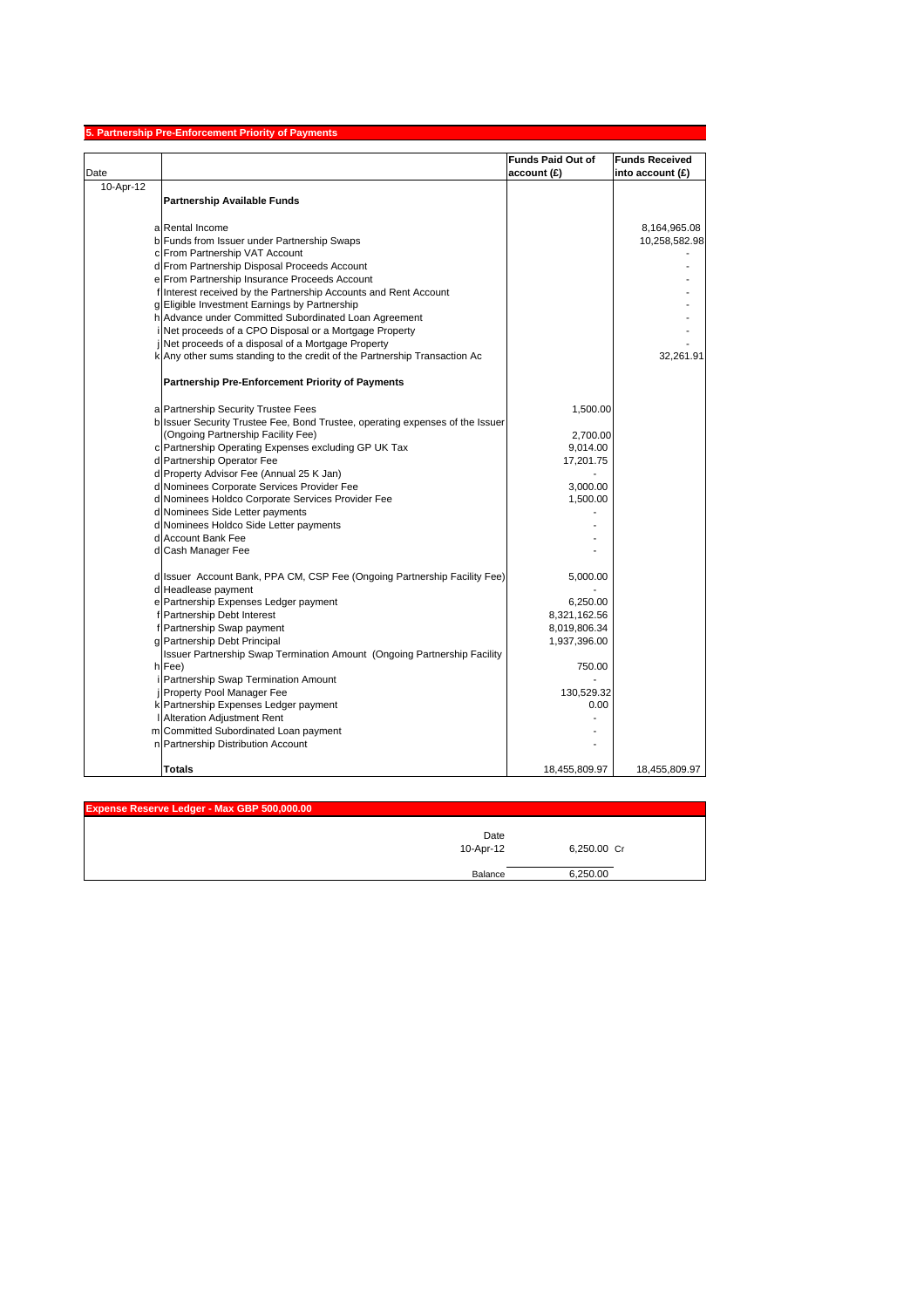|           | 5. Partnership Pre-Enforcement Priority of Payments                                                                 |                          |                       |
|-----------|---------------------------------------------------------------------------------------------------------------------|--------------------------|-----------------------|
|           |                                                                                                                     | <b>Funds Paid Out of</b> | <b>Funds Received</b> |
| Date      |                                                                                                                     | account (£)              | into account $(E)$    |
| 10-Apr-12 |                                                                                                                     |                          |                       |
|           | <b>Partnership Available Funds</b>                                                                                  |                          |                       |
|           |                                                                                                                     |                          |                       |
|           | a Rental Income                                                                                                     |                          | 8,164,965.08          |
|           | b Funds from Issuer under Partnership Swaps                                                                         |                          | 10,258,582.98         |
|           | c From Partnership VAT Account                                                                                      |                          |                       |
|           | d From Partnership Disposal Proceeds Account                                                                        |                          |                       |
|           | e From Partnership Insurance Proceeds Account                                                                       |                          |                       |
|           | f Interest received by the Partnership Accounts and Rent Account                                                    |                          |                       |
|           | g Eligible Investment Earnings by Partnership                                                                       |                          |                       |
|           | h Advance under Committed Subordinated Loan Agreement                                                               |                          |                       |
|           | Net proceeds of a CPO Disposal or a Mortgage Property                                                               |                          |                       |
|           | Net proceeds of a disposal of a Mortgage Property                                                                   |                          |                       |
|           | k Any other sums standing to the credit of the Partnership Transaction Ac                                           |                          | 32,261.91             |
|           | <b>Partnership Pre-Enforcement Priority of Payments</b>                                                             |                          |                       |
|           |                                                                                                                     |                          |                       |
|           | a Partnership Security Trustee Fees                                                                                 | 1,500.00                 |                       |
|           | b Issuer Security Trustee Fee, Bond Trustee, operating expenses of the Issuer<br>(Ongoing Partnership Facility Fee) | 2,700.00                 |                       |
|           | c Partnership Operating Expenses excluding GP UK Tax                                                                | 9,014.00                 |                       |
|           | d Partnership Operator Fee                                                                                          | 17,201.75                |                       |
|           | d Property Advisor Fee (Annual 25 K Jan)                                                                            |                          |                       |
|           | d Nominees Corporate Services Provider Fee                                                                          | 3,000.00                 |                       |
|           | d Nominees Holdco Corporate Services Provider Fee                                                                   | 1,500.00                 |                       |
|           | d Nominees Side Letter payments                                                                                     |                          |                       |
|           | d Nominees Holdco Side Letter payments                                                                              |                          |                       |
|           | d Account Bank Fee                                                                                                  |                          |                       |
|           | d Cash Manager Fee                                                                                                  |                          |                       |
|           |                                                                                                                     |                          |                       |
|           | d Issuer Account Bank, PPA CM, CSP Fee (Ongoing Partnership Facility Fee)                                           | 5,000.00                 |                       |
|           | d Headlease payment                                                                                                 |                          |                       |
|           | e Partnership Expenses Ledger payment                                                                               | 6,250.00                 |                       |
|           | f Partnership Debt Interest                                                                                         | 8,321,162.56             |                       |
|           | f Partnership Swap payment                                                                                          | 8,019,806.34             |                       |
|           | g Partnership Debt Principal                                                                                        | 1,937,396.00             |                       |
|           | Issuer Partnership Swap Termination Amount (Ongoing Partnership Facility                                            |                          |                       |
|           | h Fee)                                                                                                              | 750.00                   |                       |
|           | Partnership Swap Termination Amount                                                                                 |                          |                       |
|           | Property Pool Manager Fee                                                                                           | 130,529.32               |                       |
|           | k Partnership Expenses Ledger payment                                                                               | 0.00                     |                       |
|           | <b>Alteration Adjustment Rent</b>                                                                                   |                          |                       |
|           | m Committed Subordinated Loan payment<br>n Partnership Distribution Account                                         |                          |                       |
|           |                                                                                                                     |                          |                       |
|           | <b>Totals</b>                                                                                                       | 18,455,809.97            | 18,455,809.97         |

| Expense Reserve Ledger - Max GBP 500,000.00 |                   |             |
|---------------------------------------------|-------------------|-------------|
|                                             | Date<br>10-Apr-12 | 6,250.00 Cr |
|                                             | Balance           | 6,250.00    |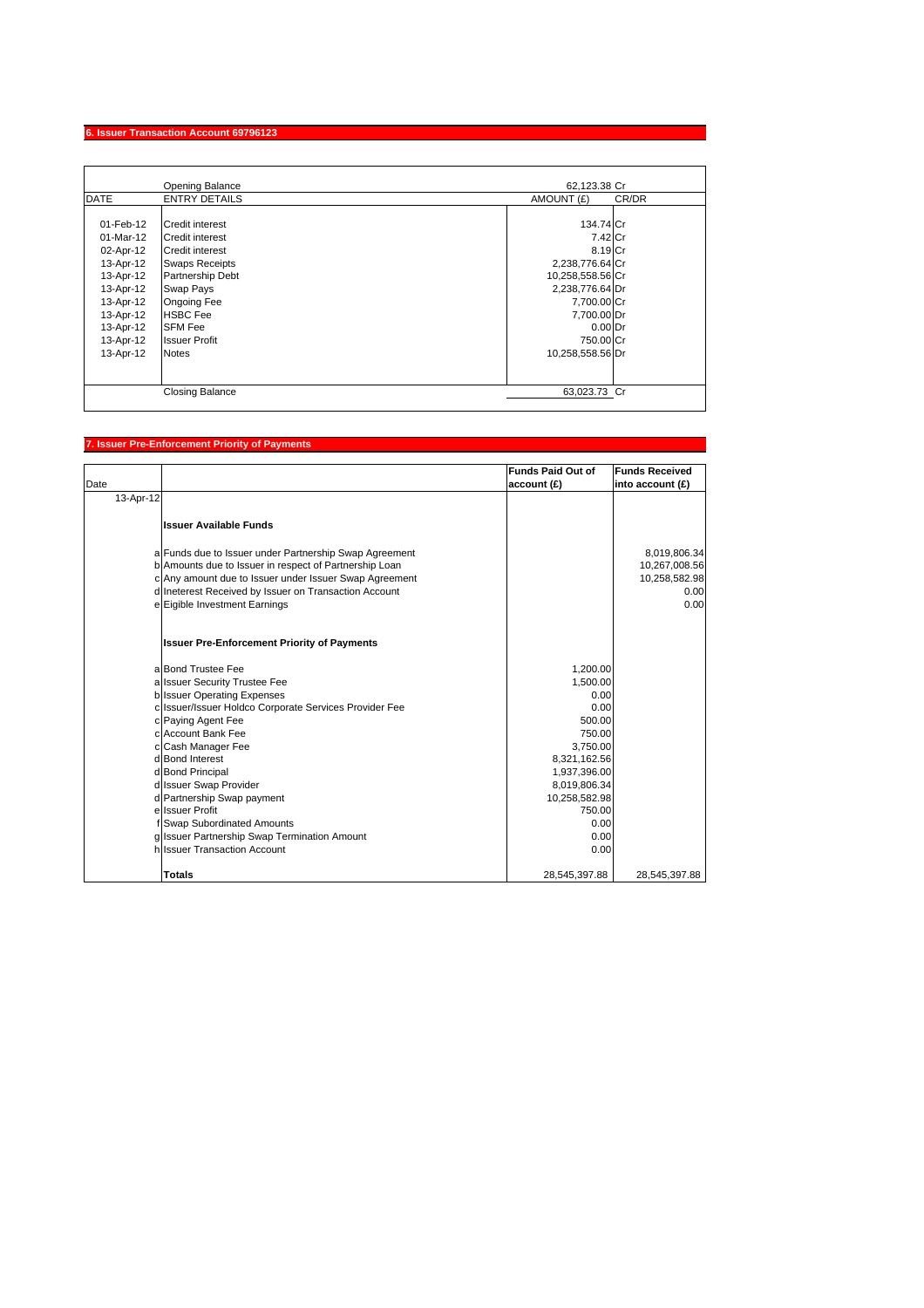## **6. Issuer Transaction Account 69796123**

|             | Opening Balance        | 62.123.38 Cr        |
|-------------|------------------------|---------------------|
| <b>DATE</b> | <b>ENTRY DETAILS</b>   | AMOUNT (£)<br>CR/DR |
|             |                        |                     |
| 01-Feb-12   | <b>Credit interest</b> | 134.74 Cr           |
| $01-Mar-12$ | <b>Credit interest</b> | 7.42 Cr             |
| 02-Apr-12   | <b>Credit interest</b> | 8.19 Cr             |
| 13-Apr-12   | <b>Swaps Receipts</b>  | 2,238,776.64 Cr     |
| 13-Apr-12   | Partnership Debt       | 10,258,558.56 Cr    |
| 13-Apr-12   | Swap Pays              | 2,238,776.64 Dr     |
| 13-Apr-12   | <b>Ongoing Fee</b>     | 7,700.00 Cr         |
| 13-Apr-12   | <b>HSBC</b> Fee        | 7,700.00 Dr         |
| 13-Apr-12   | <b>SFM Fee</b>         | $0.00$ Dr           |
| 13-Apr-12   | <b>Issuer Profit</b>   | 750.00 Cr           |
| 13-Apr-12   | <b>Notes</b>           | 10,258,558.56 Dr    |
|             |                        |                     |
|             |                        |                     |
|             | <b>Closing Balance</b> | 63,023.73 Cr        |

## **7. Issuer Pre-Enforcement Priority of Payments**

| Date      |                                                        | <b>Funds Paid Out of</b><br>account (£) | <b>Funds Received</b><br>into account $(E)$ |
|-----------|--------------------------------------------------------|-----------------------------------------|---------------------------------------------|
| 13-Apr-12 |                                                        |                                         |                                             |
|           | <b>Issuer Available Funds</b>                          |                                         |                                             |
|           | a Funds due to Issuer under Partnership Swap Agreement |                                         | 8,019,806.34                                |
|           | b Amounts due to Issuer in respect of Partnership Loan |                                         | 10,267,008.56                               |
|           | c Any amount due to Issuer under Issuer Swap Agreement |                                         | 10,258,582.98                               |
|           | d Ineterest Received by Issuer on Transaction Account  |                                         | 0.00                                        |
|           | e Eigible Investment Earnings                          |                                         | 0.00                                        |
|           | <b>Issuer Pre-Enforcement Priority of Payments</b>     |                                         |                                             |
|           | a Bond Trustee Fee                                     | 1,200.00                                |                                             |
|           | a Issuer Security Trustee Fee                          | 1.500.00                                |                                             |
|           | b Issuer Operating Expenses                            | 0.00                                    |                                             |
|           | c Issuer/Issuer Holdco Corporate Services Provider Fee | 0.00                                    |                                             |
|           | c Paying Agent Fee                                     | 500.00                                  |                                             |
|           | c Account Bank Fee                                     | 750.00                                  |                                             |
|           | c Cash Manager Fee                                     | 3,750.00                                |                                             |
|           | d Bond Interest                                        | 8,321,162.56                            |                                             |
|           | d Bond Principal                                       | 1,937,396.00                            |                                             |
|           | d Issuer Swap Provider<br>d Partnership Swap payment   | 8,019,806.34<br>10,258,582.98           |                                             |
|           | e Issuer Profit                                        | 750.00                                  |                                             |
|           | f Swap Subordinated Amounts                            | 0.00                                    |                                             |
|           | g Issuer Partnership Swap Termination Amount           | 0.00                                    |                                             |
|           | hilssuer Transaction Account                           | 0.00                                    |                                             |
|           |                                                        |                                         |                                             |
|           | <b>Totals</b>                                          | 28,545,397.88                           | 28,545,397.88                               |